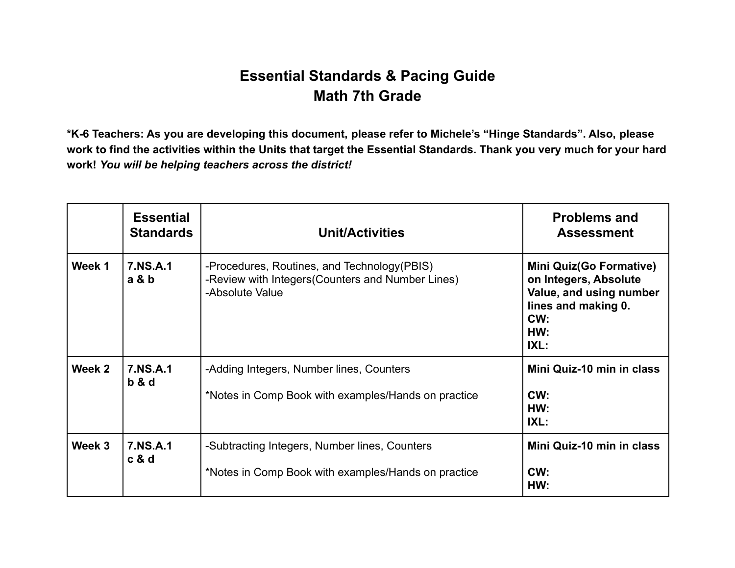## **Essential Standards & Pacing Guide Math 7th Grade**

**\*K-6 Teachers: As you are developing this document, please refer to Michele's "Hinge Standards". Also, please work to find the activities within the Units that target the Essential Standards. Thank you very much for your hard work!** *You will be helping teachers across the district!*

|        | <b>Essential</b><br><b>Standards</b> | <b>Unit/Activities</b>                                                                                               | <b>Problems and</b><br><b>Assessment</b>                                                                                        |
|--------|--------------------------------------|----------------------------------------------------------------------------------------------------------------------|---------------------------------------------------------------------------------------------------------------------------------|
| Week 1 | 7.NS.A.1<br>a & b                    | -Procedures, Routines, and Technology (PBIS)<br>-Review with Integers (Counters and Number Lines)<br>-Absolute Value | <b>Mini Quiz(Go Formative)</b><br>on Integers, Absolute<br>Value, and using number<br>lines and making 0.<br>CW:<br>HW:<br>IXL: |
| Week 2 | 7.NS.A.1<br>b & d                    | -Adding Integers, Number lines, Counters                                                                             | Mini Quiz-10 min in class                                                                                                       |
|        |                                      | *Notes in Comp Book with examples/Hands on practice                                                                  | CW:<br>HW:<br>IXL:                                                                                                              |
| Week 3 | 7.NS.A.1<br>c & d                    | -Subtracting Integers, Number lines, Counters                                                                        | Mini Quiz-10 min in class                                                                                                       |
|        |                                      | *Notes in Comp Book with examples/Hands on practice                                                                  | CW:<br>HW:                                                                                                                      |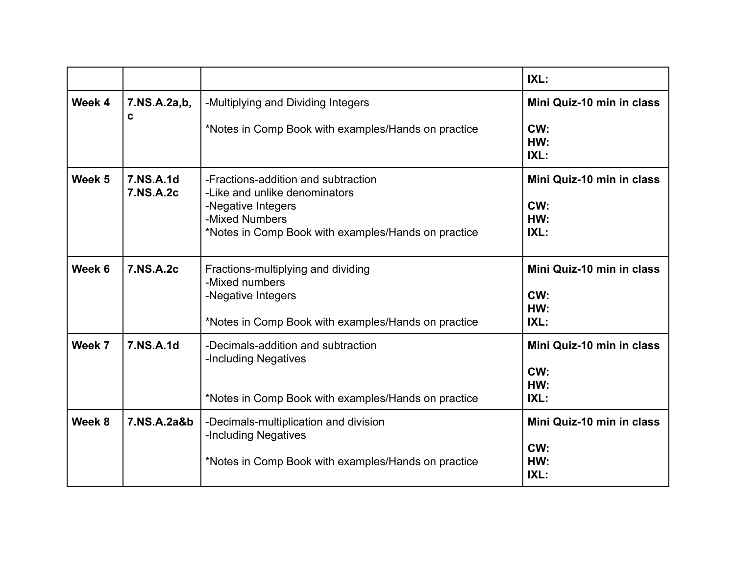|        |                        |                                                                                                                                                                     | IXL:                                            |
|--------|------------------------|---------------------------------------------------------------------------------------------------------------------------------------------------------------------|-------------------------------------------------|
| Week 4 | 7.NS.A.2a,b,<br>C      | -Multiplying and Dividing Integers                                                                                                                                  | Mini Quiz-10 min in class                       |
|        |                        | *Notes in Comp Book with examples/Hands on practice                                                                                                                 | CW:<br>HW:<br>IXL:                              |
| Week 5 | 7.NS.A.1d<br>7.NS.A.2c | -Fractions-addition and subtraction<br>-Like and unlike denominators<br>-Negative Integers<br>-Mixed Numbers<br>*Notes in Comp Book with examples/Hands on practice | Mini Quiz-10 min in class<br>CW:<br>HW:<br>IXL: |
| Week 6 | 7.NS.A.2c              | Fractions-multiplying and dividing<br>-Mixed numbers<br>-Negative Integers<br>*Notes in Comp Book with examples/Hands on practice                                   | Mini Quiz-10 min in class<br>CW:<br>HW:<br>IXL: |
| Week 7 | 7.NS.A.1d              | -Decimals-addition and subtraction<br>-Including Negatives<br>*Notes in Comp Book with examples/Hands on practice                                                   | Mini Quiz-10 min in class<br>CW:<br>HW:<br>IXL: |
| Week 8 | 7.NS.A.2a&b            | -Decimals-multiplication and division<br>-Including Negatives<br>*Notes in Comp Book with examples/Hands on practice                                                | Mini Quiz-10 min in class<br>CW:<br>HW:<br>IXL: |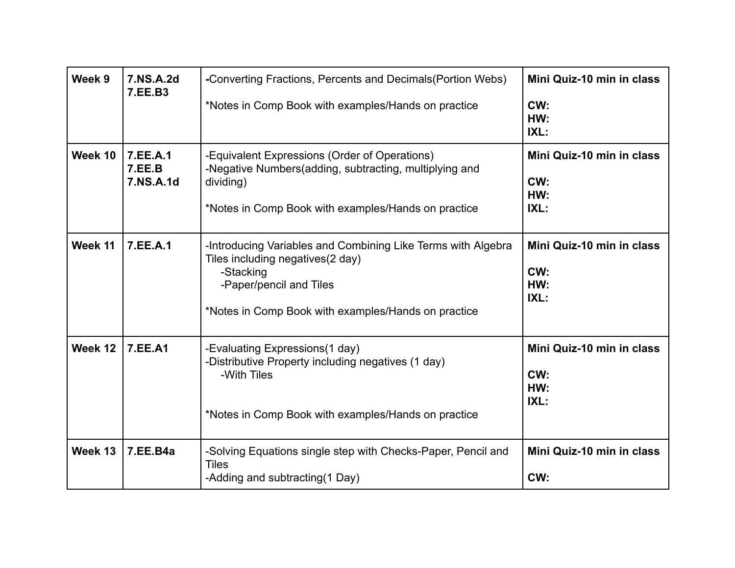| Week 9  | 7.NS.A.2d<br>7.EE.B3            | -Converting Fractions, Percents and Decimals (Portion Webs)<br>*Notes in Comp Book with examples/Hands on practice                                                                               | Mini Quiz-10 min in class<br>CW:<br>HW:<br>IXL: |
|---------|---------------------------------|--------------------------------------------------------------------------------------------------------------------------------------------------------------------------------------------------|-------------------------------------------------|
| Week 10 | 7.EE.A.1<br>7.EE.B<br>7.NS.A.1d | -Equivalent Expressions (Order of Operations)<br>-Negative Numbers (adding, subtracting, multiplying and<br>dividing)<br>*Notes in Comp Book with examples/Hands on practice                     | Mini Quiz-10 min in class<br>CW:<br>HW:<br>IXL: |
| Week 11 | 7.EE.A.1                        | -Introducing Variables and Combining Like Terms with Algebra<br>Tiles including negatives (2 day)<br>-Stacking<br>-Paper/pencil and Tiles<br>*Notes in Comp Book with examples/Hands on practice | Mini Quiz-10 min in class<br>CW:<br>HW:<br>IXL: |
| Week 12 | <b>7.EE.A1</b>                  | -Evaluating Expressions(1 day)<br>-Distributive Property including negatives (1 day)<br>-With Tiles<br>*Notes in Comp Book with examples/Hands on practice                                       | Mini Quiz-10 min in class<br>CW:<br>HW:<br>IXL: |
| Week 13 | <b>7.EE.B4a</b>                 | -Solving Equations single step with Checks-Paper, Pencil and<br><b>Tiles</b><br>-Adding and subtracting (1 Day)                                                                                  | Mini Quiz-10 min in class<br>CW:                |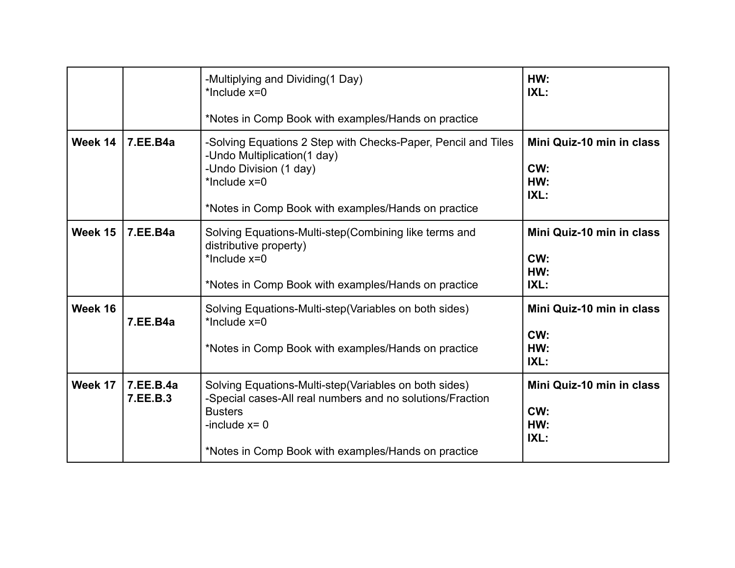|         |                       | -Multiplying and Dividing (1 Day)<br>*Include x=0<br>*Notes in Comp Book with examples/Hands on practice                                                                                                         | HW:<br>IXL:                                     |
|---------|-----------------------|------------------------------------------------------------------------------------------------------------------------------------------------------------------------------------------------------------------|-------------------------------------------------|
| Week 14 | 7.EE.B4a              | -Solving Equations 2 Step with Checks-Paper, Pencil and Tiles<br>-Undo Multiplication(1 day)<br>-Undo Division (1 day)<br>*Include $x=0$<br>*Notes in Comp Book with examples/Hands on practice                  | Mini Quiz-10 min in class<br>CW:<br>HW:<br>IXL: |
| Week 15 | 7.EE.B4a              | Solving Equations-Multi-step (Combining like terms and<br>distributive property)<br>*Include x=0<br>*Notes in Comp Book with examples/Hands on practice                                                          | Mini Quiz-10 min in class<br>CW:<br>HW:<br>IXL: |
| Week 16 | 7.EE.B4a              | Solving Equations-Multi-step (Variables on both sides)<br>*Include $x=0$<br>*Notes in Comp Book with examples/Hands on practice                                                                                  | Mini Quiz-10 min in class<br>CW:<br>HW:<br>IXL: |
| Week 17 | 7.EE.B.4a<br>7.EE.B.3 | Solving Equations-Multi-step (Variables on both sides)<br>-Special cases-All real numbers and no solutions/Fraction<br><b>Busters</b><br>-include $x = 0$<br>*Notes in Comp Book with examples/Hands on practice | Mini Quiz-10 min in class<br>CW:<br>HW:<br>IXL: |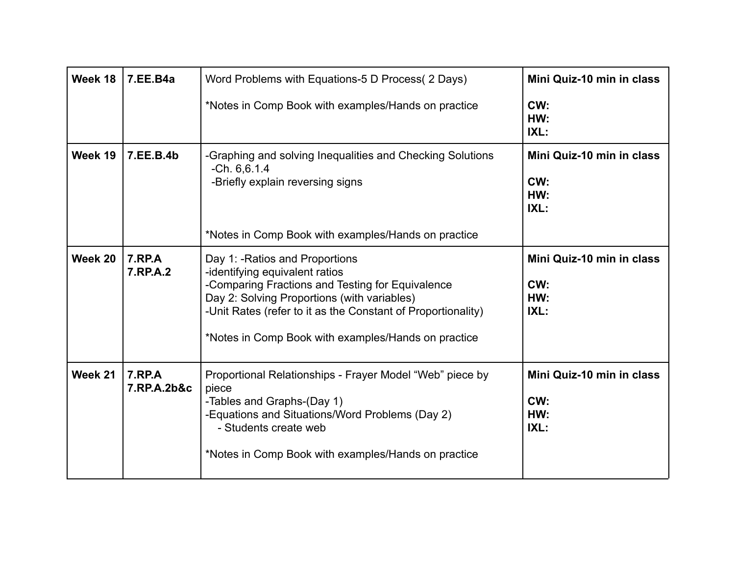| Week 18 | 7.EE.B4a                     | Word Problems with Equations-5 D Process (2 Days)                                                                                                                                                                                                                                           | Mini Quiz-10 min in class                       |
|---------|------------------------------|---------------------------------------------------------------------------------------------------------------------------------------------------------------------------------------------------------------------------------------------------------------------------------------------|-------------------------------------------------|
|         |                              | *Notes in Comp Book with examples/Hands on practice                                                                                                                                                                                                                                         | CW:<br>HW:<br>IXL:                              |
| Week 19 | 7.EE.B.4b                    | -Graphing and solving Inequalities and Checking Solutions<br>$-Ch. 6, 6.1.4$<br>-Briefly explain reversing signs                                                                                                                                                                            | Mini Quiz-10 min in class<br>CW:<br>HW:<br>IXL: |
|         |                              | *Notes in Comp Book with examples/Hands on practice                                                                                                                                                                                                                                         |                                                 |
| Week 20 | <b>7.RP.A</b><br>7.RP.A.2    | Day 1: - Ratios and Proportions<br>-identifying equivalent ratios<br>-Comparing Fractions and Testing for Equivalence<br>Day 2: Solving Proportions (with variables)<br>-Unit Rates (refer to it as the Constant of Proportionality)<br>*Notes in Comp Book with examples/Hands on practice | Mini Quiz-10 min in class<br>CW:<br>HW:<br>IXL: |
| Week 21 | <b>7.RP.A</b><br>7.RP.A.2b&c | Proportional Relationships - Frayer Model "Web" piece by<br>piece<br>-Tables and Graphs-(Day 1)<br>-Equations and Situations/Word Problems (Day 2)<br>- Students create web<br>*Notes in Comp Book with examples/Hands on practice                                                          | Mini Quiz-10 min in class<br>CW:<br>HW:<br>IXL: |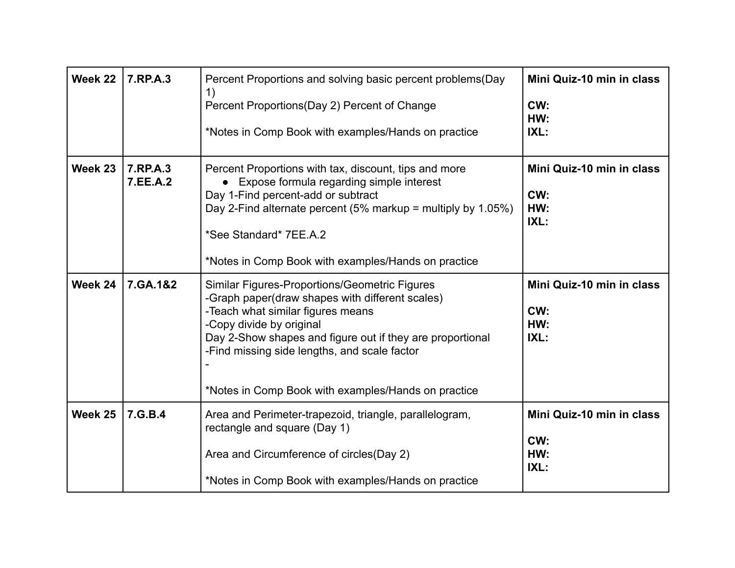| Week 22 | 7.RP.A.3             | Percent Proportions and solving basic percent problems (Day<br>1)<br>Percent Proportions(Day 2) Percent of Change<br>*Notes in Comp Book with examples/Hands on practice                                                                                                                                                              | Mini Quiz-10 min in class<br>CW:<br>HW:<br>IXL: |
|---------|----------------------|---------------------------------------------------------------------------------------------------------------------------------------------------------------------------------------------------------------------------------------------------------------------------------------------------------------------------------------|-------------------------------------------------|
| Week 23 | 7.RP.A.3<br>7.EE.A.2 | Percent Proportions with tax, discount, tips and more<br>Expose formula regarding simple interest<br>Day 1-Find percent-add or subtract<br>Day 2-Find alternate percent $(5\%$ markup = multiply by 1.05%)<br>*See Standard* 7EE.A.2<br>*Notes in Comp Book with examples/Hands on practice                                           | Mini Quiz-10 min in class<br>CW:<br>HW:<br>IXL: |
| Week 24 | 7.GA.1&2             | Similar Figures-Proportions/Geometric Figures<br>-Graph paper(draw shapes with different scales)<br>-Teach what similar figures means<br>-Copy divide by original<br>Day 2-Show shapes and figure out if they are proportional<br>-Find missing side lengths, and scale factor<br>*Notes in Comp Book with examples/Hands on practice | Mini Quiz-10 min in class<br>CW:<br>HW:<br>IXL: |
| Week 25 | 7.G.B.4              | Area and Perimeter-trapezoid, triangle, parallelogram,<br>rectangle and square (Day 1)<br>Area and Circumference of circles (Day 2)<br>*Notes in Comp Book with examples/Hands on practice                                                                                                                                            | Mini Quiz-10 min in class<br>CW:<br>HW:<br>IXL: |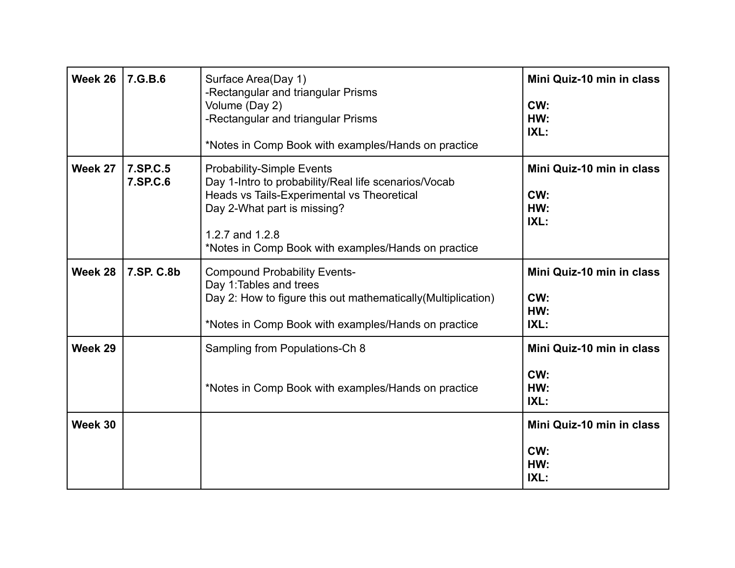| Week 26 | 7.G.B.6              | Surface Area(Day 1)<br>-Rectangular and triangular Prisms<br>Volume (Day 2)<br>-Rectangular and triangular Prisms<br>*Notes in Comp Book with examples/Hands on practice                                                                        | Mini Quiz-10 min in class<br>CW:<br>HW:<br>IXL: |
|---------|----------------------|-------------------------------------------------------------------------------------------------------------------------------------------------------------------------------------------------------------------------------------------------|-------------------------------------------------|
| Week 27 | 7.SP.C.5<br>7.SP.C.6 | <b>Probability-Simple Events</b><br>Day 1-Intro to probability/Real life scenarios/Vocab<br>Heads vs Tails-Experimental vs Theoretical<br>Day 2-What part is missing?<br>1.2.7 and 1.2.8<br>*Notes in Comp Book with examples/Hands on practice | Mini Quiz-10 min in class<br>CW:<br>HW:<br>IXL: |
| Week 28 | 7.SP. C.8b           | <b>Compound Probability Events-</b><br>Day 1: Tables and trees<br>Day 2: How to figure this out mathematically (Multiplication)<br>*Notes in Comp Book with examples/Hands on practice                                                          | Mini Quiz-10 min in class<br>CW:<br>HW:<br>IXL: |
| Week 29 |                      | Sampling from Populations-Ch 8<br>*Notes in Comp Book with examples/Hands on practice                                                                                                                                                           | Mini Quiz-10 min in class<br>CW:<br>HW:<br>IXL: |
| Week 30 |                      |                                                                                                                                                                                                                                                 | Mini Quiz-10 min in class<br>CW:<br>HW:<br>IXL: |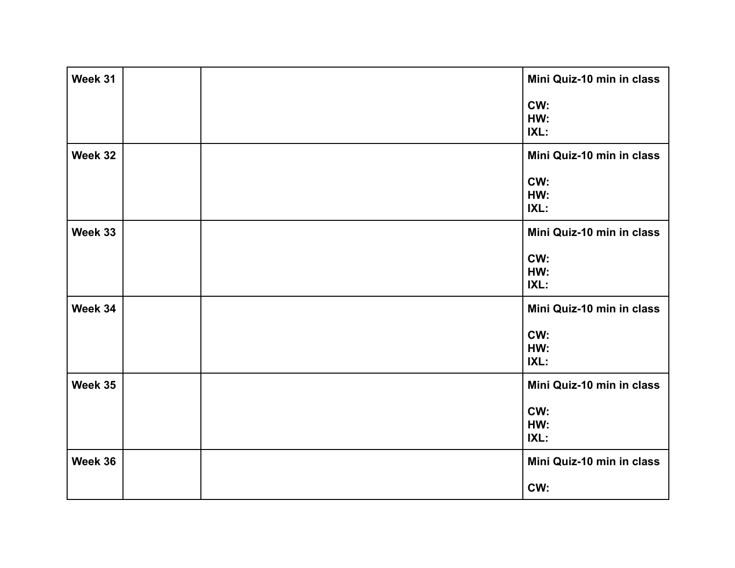| Week 31 |  | Mini Quiz-10 min in class |
|---------|--|---------------------------|
|         |  | CW:<br>HW:<br>IXL:        |
| Week 32 |  | Mini Quiz-10 min in class |
|         |  | CW:<br>HW:<br>IXL:        |
| Week 33 |  | Mini Quiz-10 min in class |
|         |  | CW:<br>HW:<br>IXL:        |
| Week 34 |  | Mini Quiz-10 min in class |
|         |  | CW:<br>HW:<br>IXL:        |
| Week 35 |  | Mini Quiz-10 min in class |
|         |  | CW:<br>HW:<br>IXL:        |
| Week 36 |  | Mini Quiz-10 min in class |
|         |  | CW:                       |